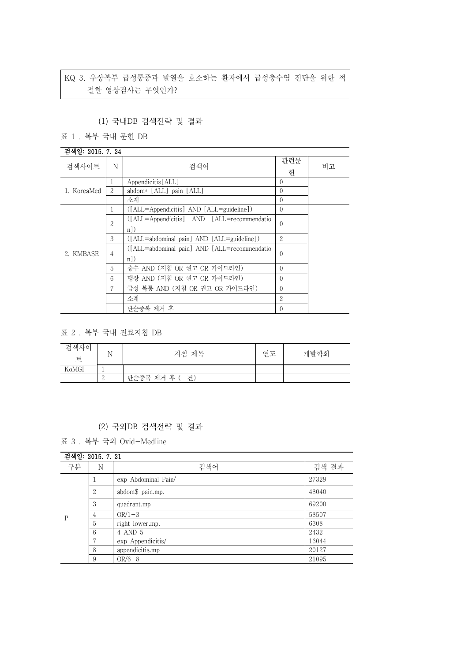# KQ 3. 우상복부 급성통증과 발열을 호소하는 환자에서 급성충수염 진단을 위한 적 절한 영상검사는 무엇인가?

#### (1) 국내DB 검색전략 및 결과

표 1 . 복부 국내 문헌 DB

### 검색일: 2015. 7. 24

| 검색사이트       | N  | 검색어                                          | 관련문<br>헌       | 비고 |  |
|-------------|----|----------------------------------------------|----------------|----|--|
|             |    | Appendicitis[ALL]                            | $\Omega$       |    |  |
| 1. KoreaMed | 2  | abdom* [ALL] pain [ALL]                      | $\left($       |    |  |
|             |    | 소계                                           | $\left($       |    |  |
|             | T. | ([ALL=Appendicitis] AND [ALL=guideline])     | $\theta$       |    |  |
|             | 2  | ([ALL=Appendicitis] AND [ALL=recommendatio   | $\theta$       |    |  |
|             |    | $n$ )                                        |                |    |  |
|             | 3  | ([ALL=abdominal pain] AND [ALL=guideline])   | $\overline{2}$ |    |  |
| 2. KMBASE   | 4  | ([ALL=abdominal pain] AND [ALL=recommendatio | $\left($       |    |  |
|             |    | $n$ )                                        |                |    |  |
|             | 5  | 충수 AND (지침 OR 권고 OR 가이드라인)                   | $\left($       |    |  |
|             | 6  | 맹장 AND (지침 OR 권고 OR 가이드라인)                   | $\Omega$       |    |  |
|             |    | 급성 복통 AND (지침 OR 권고 OR 가이드라인)                | $\Omega$       |    |  |
|             |    | 소계                                           | 2              |    |  |
|             |    | 단순중복 제거 후                                    | $\Omega$       |    |  |

#### 표 2 . 복부 국내 진료지침 DB

| 검색사이<br>E | N | 지침 제목             | 연도 | 개발학회 |
|-----------|---|-------------------|----|------|
| KoMGI     |   |                   |    |      |
|           |   | 단순중복<br>제거 후<br>건 |    |      |

## (2) 국외DB 검색전략 및 결과

표 3 . 복부 국외 Ovid-Medline

| 검색일: 2015. 7. 21 |   |                     |       |  |
|------------------|---|---------------------|-------|--|
| 구분               | Ν | 검색어                 | 검색 결과 |  |
|                  |   | exp Abdominal Pain/ | 27329 |  |
| P                | 2 | abdom\$ pain.mp.    | 48040 |  |
|                  | 3 | quadrant.mp         | 69200 |  |
|                  | 4 | $OR/1-3$            | 58507 |  |
|                  | 5 | right lower.mp.     | 6308  |  |
|                  | 6 | 4 AND 5             | 2432  |  |
|                  | Ξ | exp Appendicitis/   | 16044 |  |
|                  | 8 | appendicitis.mp     | 20127 |  |
|                  | 9 | $OR/6-8$            | 21095 |  |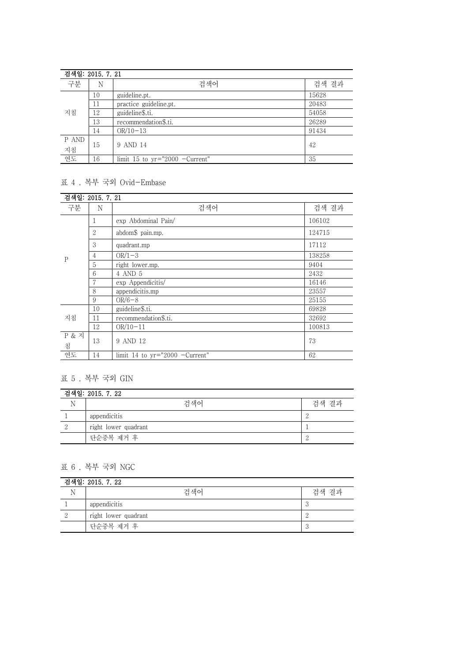|                   | 검색일: 2015, 7, 21 |                                  |       |  |
|-------------------|------------------|----------------------------------|-------|--|
| 구분                | Ν                | 검색어                              | 검색 결과 |  |
| 지침                | 10               | guideline.pt.                    | 15628 |  |
|                   | 11               | practice guideline.pt.           | 20483 |  |
|                   | 12               | guideline\$.ti.                  | 54058 |  |
|                   | 13               | recommendation\$.ti.             | 26289 |  |
|                   | 14               | $OR/10-13$                       | 91434 |  |
| P AND<br>지침<br>연도 | 15               | 9 AND 14                         | 42    |  |
|                   | 16               | limit 15 to $yr="2000$ -Current" | 35    |  |

### 표 4 . 복부 국외 Ovid-Embase

| 검색일: 2015. 7. 21      |    |                                  |        |
|-----------------------|----|----------------------------------|--------|
| 구분                    | N  | 검색어                              | 검색 결과  |
| $\mathbf P$           | 1  | exp Abdominal Pain/              | 106102 |
|                       | 2  | abdom\$ pain.mp.                 | 124715 |
|                       | 3  | quadrant.mp                      | 17112  |
|                       | 4  | $OR/1-3$                         | 138258 |
|                       | 5  | right lower.mp.                  | 9404   |
|                       | 6  | 4 AND 5                          | 2432   |
|                       | 7  | exp Appendicitis/                | 16146  |
|                       | 8  | appendicitis.mp                  | 23557  |
|                       | 9  | $OR/6-8$                         | 25155  |
| 지침                    | 10 | guideline\$.ti.                  | 69828  |
|                       | 11 | recommendation\$.ti.             | 32692  |
|                       | 12 | $OR/10-11$                       | 100813 |
| <b>P &amp; 지</b><br>침 | 13 | 9 AND 12                         | 73     |
| 연도                    | 14 | limit 14 to $yr="2000 -Current"$ | 62     |

# 표 5 . 복부 국외 GIN

| 검색일: 2015. 7. 22 |                      |       |  |
|------------------|----------------------|-------|--|
|                  | 검색어                  | 검색 결과 |  |
|                  | appendicitis         |       |  |
|                  | right lower quadrant |       |  |
|                  | 단순중복 제거 후            |       |  |

## 표 6 . 복부 국외 NGC

| 검색일: 2015. 7. 22 |                      |                      |  |
|------------------|----------------------|----------------------|--|
|                  | 검색어                  | 검색 결과                |  |
|                  | appendicitis         | $\ddot{\phantom{0}}$ |  |
|                  | right lower quadrant |                      |  |
|                  | 단순중복 제거 후            | -U                   |  |